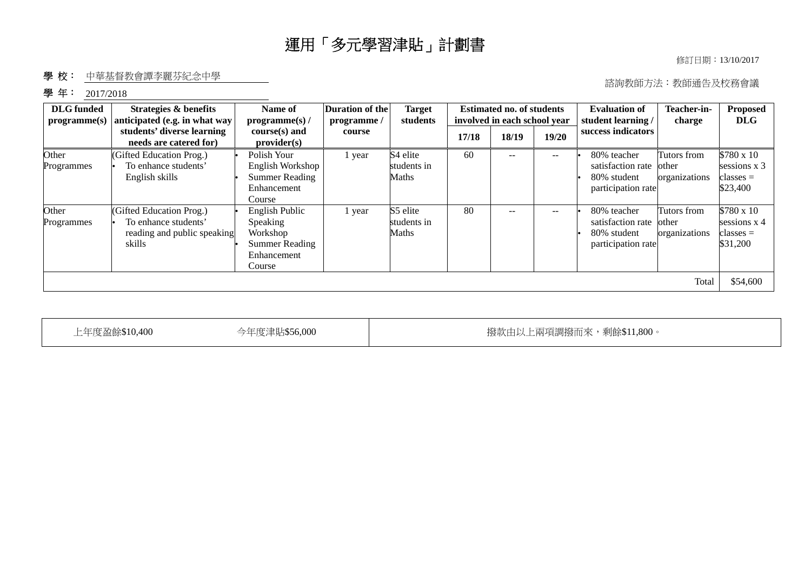#### 修訂日期︰13/10/2017

### 學校: 中華基督教會譚李麗芬紀念中學

#### 學年: 2017/2018

### 諮詢教師方法︰教師通告及校務會議

| programme(s)        | anticipated (e.g. in what way                                                             | programme(s) /                                                                                  | <b>Duration of the</b><br>programme/ | <b>Target</b><br>students        |       | <b>Estimated no. of students</b><br>involved in each school year |       | Teacher-in-<br><b>Evaluation of</b><br>student learning /<br>charge   |                                       | <b>Proposed</b><br><b>DLG</b>                                  |
|---------------------|-------------------------------------------------------------------------------------------|-------------------------------------------------------------------------------------------------|--------------------------------------|----------------------------------|-------|------------------------------------------------------------------|-------|-----------------------------------------------------------------------|---------------------------------------|----------------------------------------------------------------|
|                     | students' diverse learning<br>needs are catered for)                                      | $course(s)$ and<br>provider(s)                                                                  | course                               |                                  | 17/18 | 18/19                                                            | 19/20 | success indicators                                                    |                                       |                                                                |
| Other<br>Programmes | (Gifted Education Prog.)<br>To enhance students'<br>English skills                        | Polish Your<br>English Workshop<br><b>Summer Reading</b><br>Enhancement<br>Course               | 1 year                               | S4 elite<br>students in<br>Maths | 60    | $- -$                                                            | $- -$ | 80% teacher<br>satisfaction rate<br>80% student<br>participation rate | Tutors from<br>other<br>organizations | \$780 x 10<br>sessions x 3<br>classes =<br>\$23,400            |
| Other<br>Programmes | (Gifted Education Prog.)<br>To enhance students'<br>reading and public speaking<br>skills | English Public<br><b>Speaking</b><br>Workshop<br><b>Summer Reading</b><br>Enhancement<br>Course | l year                               | S5 elite<br>students in<br>Maths | 80    | $- -$                                                            | $- -$ | 80% teacher<br>satisfaction rate<br>80% student<br>participation rate | Tutors from<br>other<br>organizations | \$780 x 10<br>sessions $x$ 4<br>$\text{classes} =$<br>\$31,200 |
|                     |                                                                                           |                                                                                                 |                                      |                                  |       |                                                                  |       |                                                                       | Total                                 | \$54,600                                                       |

上年度盈餘\$10,400 今年度津貼\$56,000 撥款由以上兩項調撥而來,剩餘\$11,800。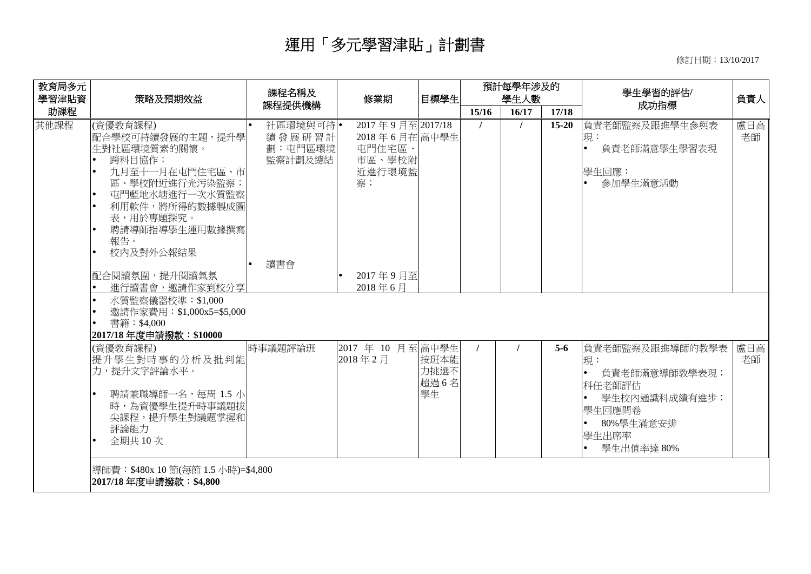修訂日期︰13/10/2017

|                                                                                                                                                                                                                                                                                       | 課程提供機構                                           | 修業期                                                                  | 目標學生                       | 預計每學年涉及的<br>學生人數                       |       |         | 學生學習的評估/                                                                                                        | 負責人       |
|---------------------------------------------------------------------------------------------------------------------------------------------------------------------------------------------------------------------------------------------------------------------------------------|--------------------------------------------------|----------------------------------------------------------------------|----------------------------|----------------------------------------|-------|---------|-----------------------------------------------------------------------------------------------------------------|-----------|
|                                                                                                                                                                                                                                                                                       |                                                  |                                                                      |                            | 15/16                                  | 16/17 | 17/18   | 成功指標                                                                                                            |           |
| (資優教育課程)<br>配合學校可持續發展的主題,提升學<br>生對社區環境質素的關懷。<br>跨科目協作;<br>九月至十一月在屯門住宅區、市<br>區、學校附近進行光污染監察;<br>屯門藍地水塘進行一次水質監察<br>利用軟件,將所得的數據製成圖<br>表,用於專題探究。<br>聘請導師指導學生運用數據撰寫<br>報告。<br>校内及對外公報結果<br> 配合閱讀氛圍,提升閱讀氣氛<br>進行讀書會,邀請作家到校分享<br>水質監察儀器校準: \$1,000<br>邀請作家費用: \$1,000x5=\$5,000<br>書籍:\$4,000 | 社區環境與可持 •<br>續發展研習計<br>劃:屯門區環境<br>監察計劃及總結<br>讀書會 | 2017年9月至2017/18<br>2018年6月在高中學生<br>屯門住宅區、<br>市區、學校附<br>察;<br>2018年6月 |                            |                                        |       | $15-20$ | 負責老師監察及跟進學生參與表<br>現:<br>負責老師滿意學生學習表現<br>學生回應:<br>參加學生滿意活動                                                       | 盧日高<br>老師 |
| (資優教育課程)<br>提升學生對時事的分析及批判能<br>力,提升文字評論水平。<br>聘請兼職導師一名,每周1.5 小<br>時,為資優學生提升時事議題拔<br>尖課程,提升學生對議題掌握和<br>評論能力<br>全期共10次                                                                                                                                                                   |                                                  |                                                                      | 按班本能<br>力挑選不<br>超過6名<br>學生 |                                        |       | $5-6$   | 負責老師監察及跟進導師的教學表<br>現:<br>負責老師滿意導師教學表現;<br>科任老師評估<br>學生校內通識科成績有進步;<br>學生回應問卷<br>80%學生滿意安排<br>學生出席率<br>學生出值率達 80% | 盧日高<br>老師 |
|                                                                                                                                                                                                                                                                                       | 2017/18年度申請撥款: \$10000<br>2017/18年度申請撥款: \$4,800 | 時事議題評論班<br>導師費:\$480x 10 節(每節 1.5 小時)=\$4,800                        | 2018年2月                    | 近進行環境監<br>2017年9月至<br>2017 年 10 月至高中學生 |       |         |                                                                                                                 |           |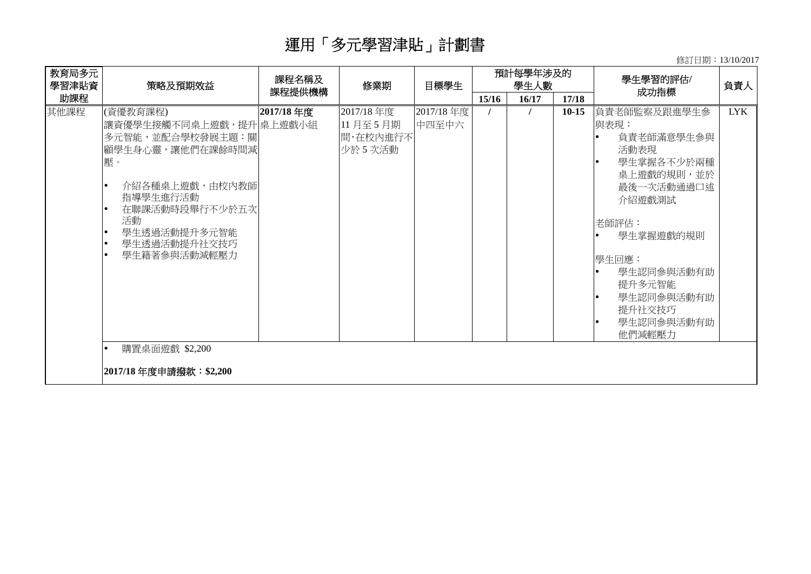修訂日期︰13/10/2017

| 教育局多元<br>學習津貼資 | 策略及預期效益                                                                                                                                                                                              | 課程名稱及     | 修業期                                          | 目標學生               | 預計每學年涉及的<br>學生人數 |       | 學生學習的評估/ |                                                                                                                                                                                                              | 負責人        |
|----------------|------------------------------------------------------------------------------------------------------------------------------------------------------------------------------------------------------|-----------|----------------------------------------------|--------------------|------------------|-------|----------|--------------------------------------------------------------------------------------------------------------------------------------------------------------------------------------------------------------|------------|
| 助課程            |                                                                                                                                                                                                      | 課程提供機構    |                                              |                    | 15/16            | 16/17 | 17/18    | 成功指標                                                                                                                                                                                                         |            |
| 其他課程           | (資優教育課程)<br>讓資優學生接觸不同桌上遊戲,提升 桌上遊戲小組<br>多元智能,並配合學校發展主題:關<br>顧學生身心靈,讓他們在課餘時間減<br>壓。<br>介紹各種桌上遊戲,由校內教師<br>指導學生進行活動<br>在聯課活動時段舉行不少於五次<br>活動<br>學生透過活動提升多元智能<br>$\bullet$<br>學生透過活動提升社交技巧<br>學生籍著參與活動減輕壓力 | 2017/18年度 | 2017/18年度<br>11月至5月期<br>間,在校内進行不<br>少於 5 次活動 | 2017/18年度<br>中四至中六 |                  |       | $10-15$  | 負責老師監察及跟進學生參<br>與表現:<br>負責老師滿意學生參與<br>活動表現<br>學生掌握各不少於兩種<br>桌上遊戲的規則,並於<br>最後一次活動通過口述<br>介紹遊戲測試<br>老師評估:<br>學生掌握遊戲的規則<br>學生回應:<br>學生認同參與活動有助<br>l e<br>提升多元智能<br>學生認同參與活動有助<br>提升社交技巧<br>學生認同參與活動有助<br>他們減輕壓力 | <b>LYK</b> |
|                | 購置桌面遊戲 \$2,200<br>2017/18年度申請撥款:\$2,200                                                                                                                                                              |           |                                              |                    |                  |       |          |                                                                                                                                                                                                              |            |